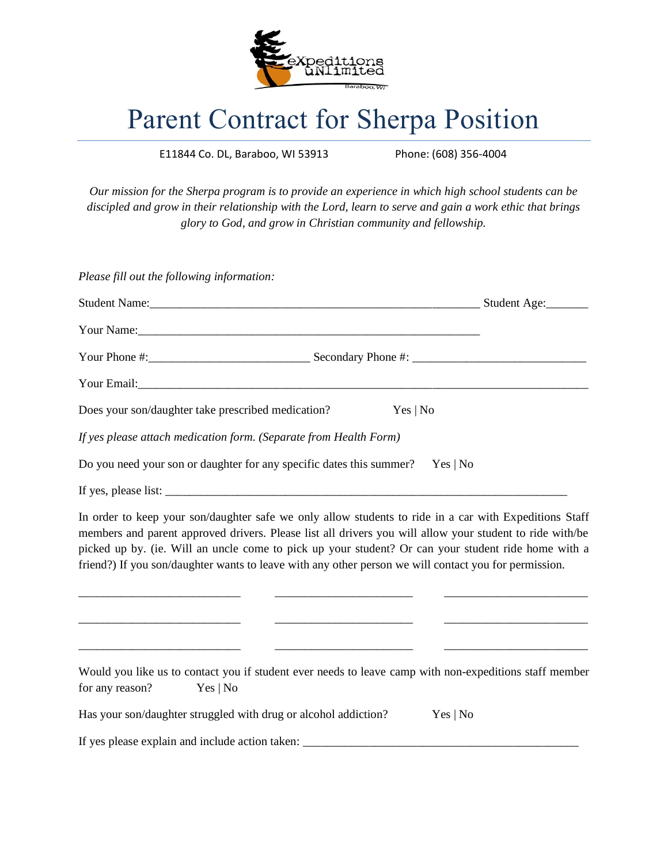

## Parent Contract for Sherpa Position

E11844 Co. DL, Baraboo, WI 53913 Phone: (608) 356-4004

*Our mission for the Sherpa program is to provide an experience in which high school students can be discipled and grow in their relationship with the Lord, learn to serve and gain a work ethic that brings glory to God, and grow in Christian community and fellowship.*

| Please fill out the following information:                                      |          |              |
|---------------------------------------------------------------------------------|----------|--------------|
|                                                                                 |          | Student Age: |
|                                                                                 |          |              |
|                                                                                 |          |              |
|                                                                                 |          |              |
| Does your son/daughter take prescribed medication?                              | Yes   No |              |
| If yes please attach medication form. (Separate from Health Form)               |          |              |
| Do you need your son or daughter for any specific dates this summer? Yes $ No $ |          |              |
|                                                                                 |          |              |

In order to keep your son/daughter safe we only allow students to ride in a car with Expeditions Staff members and parent approved drivers. Please list all drivers you will allow your student to ride with/be picked up by. (ie. Will an uncle come to pick up your student? Or can your student ride home with a friend?) If you son/daughter wants to leave with any other person we will contact you for permission.

\_\_\_\_\_\_\_\_\_\_\_\_\_\_\_\_\_\_\_\_\_\_\_\_\_\_\_ \_\_\_\_\_\_\_\_\_\_\_\_\_\_\_\_\_\_\_\_\_\_\_ \_\_\_\_\_\_\_\_\_\_\_\_\_\_\_\_\_\_\_\_\_\_\_\_

\_\_\_\_\_\_\_\_\_\_\_\_\_\_\_\_\_\_\_\_\_\_\_\_\_\_\_ \_\_\_\_\_\_\_\_\_\_\_\_\_\_\_\_\_\_\_\_\_\_\_ \_\_\_\_\_\_\_\_\_\_\_\_\_\_\_\_\_\_\_\_\_\_\_\_

\_\_\_\_\_\_\_\_\_\_\_\_\_\_\_\_\_\_\_\_\_\_\_\_\_\_\_ \_\_\_\_\_\_\_\_\_\_\_\_\_\_\_\_\_\_\_\_\_\_\_ \_\_\_\_\_\_\_\_\_\_\_\_\_\_\_\_\_\_\_\_\_\_\_\_

Would you like us to contact you if student ever needs to leave camp with non-expeditions staff member for any reason? Yes | No

| Has your son/daughter struggled with drug or alcohol addiction? | Yes   No |
|-----------------------------------------------------------------|----------|
|-----------------------------------------------------------------|----------|

If yes please explain and include action taken: \_\_\_\_\_\_\_\_\_\_\_\_\_\_\_\_\_\_\_\_\_\_\_\_\_\_\_\_\_\_\_\_\_\_\_\_\_\_\_\_\_\_\_\_\_\_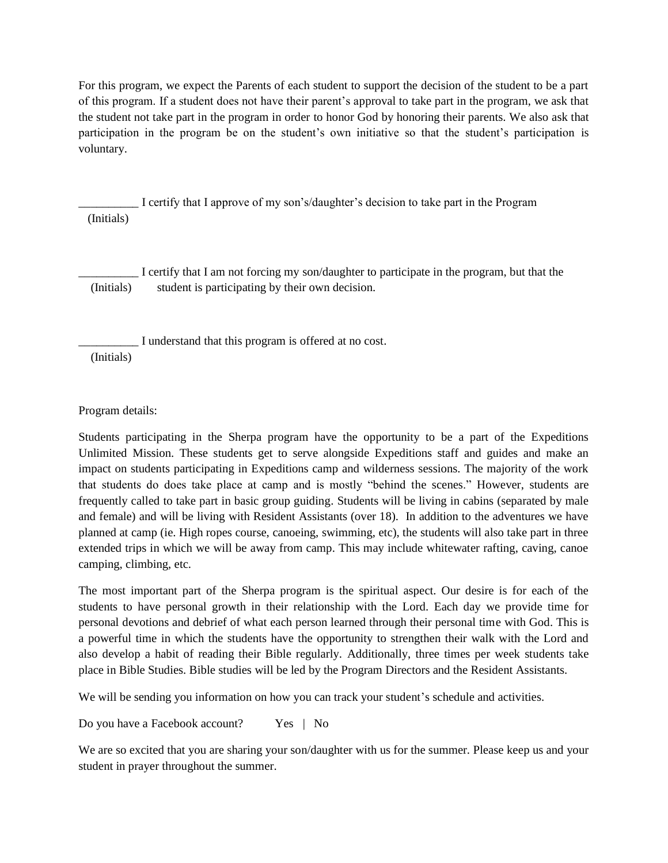For this program, we expect the Parents of each student to support the decision of the student to be a part of this program. If a student does not have their parent's approval to take part in the program, we ask that the student not take part in the program in order to honor God by honoring their parents. We also ask that participation in the program be on the student's own initiative so that the student's participation is voluntary.

\_\_\_\_\_\_\_\_\_\_ I certify that I approve of my son's/daughter's decision to take part in the Program (Initials)

I certify that I am not forcing my son/daughter to participate in the program, but that the (Initials) student is participating by their own decision.

\_\_\_\_\_\_\_\_\_\_ I understand that this program is offered at no cost.

(Initials)

Program details:

Students participating in the Sherpa program have the opportunity to be a part of the Expeditions Unlimited Mission. These students get to serve alongside Expeditions staff and guides and make an impact on students participating in Expeditions camp and wilderness sessions. The majority of the work that students do does take place at camp and is mostly "behind the scenes." However, students are frequently called to take part in basic group guiding. Students will be living in cabins (separated by male and female) and will be living with Resident Assistants (over 18). In addition to the adventures we have planned at camp (ie. High ropes course, canoeing, swimming, etc), the students will also take part in three extended trips in which we will be away from camp. This may include whitewater rafting, caving, canoe camping, climbing, etc.

The most important part of the Sherpa program is the spiritual aspect. Our desire is for each of the students to have personal growth in their relationship with the Lord. Each day we provide time for personal devotions and debrief of what each person learned through their personal time with God. This is a powerful time in which the students have the opportunity to strengthen their walk with the Lord and also develop a habit of reading their Bible regularly. Additionally, three times per week students take place in Bible Studies. Bible studies will be led by the Program Directors and the Resident Assistants.

We will be sending you information on how you can track your student's schedule and activities.

Do you have a Facebook account? Yes | No

We are so excited that you are sharing your son/daughter with us for the summer. Please keep us and your student in prayer throughout the summer.